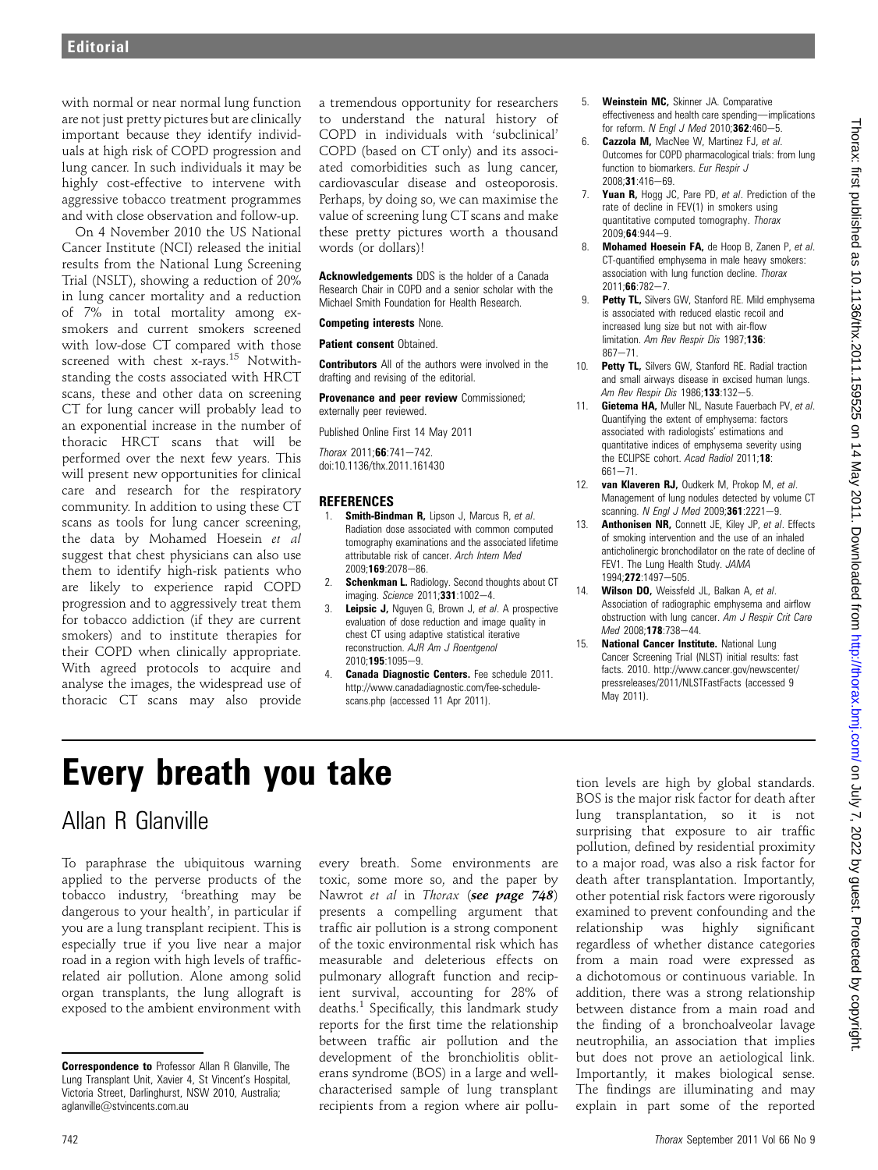with normal or near normal lung function are not just pretty pictures but are clinically important because they identify individuals at high risk of COPD progression and lung cancer. In such individuals it may be highly cost-effective to intervene with aggressive tobacco treatment programmes and with close observation and follow-up.

On 4 November 2010 the US National Cancer Institute (NCI) released the initial results from the National Lung Screening Trial (NSLT), showing a reduction of 20% in lung cancer mortality and a reduction of 7% in total mortality among exsmokers and current smokers screened with low-dose CT compared with those screened with chest x-rays.<sup>15</sup> Notwithstanding the costs associated with HRCT scans, these and other data on screening CT for lung cancer will probably lead to an exponential increase in the number of thoracic HRCT scans that will be performed over the next few years. This will present new opportunities for clinical care and research for the respiratory community. In addition to using these CT scans as tools for lung cancer screening, the data by Mohamed Hoesein et al suggest that chest physicians can also use them to identify high-risk patients who are likely to experience rapid COPD progression and to aggressively treat them for tobacco addiction (if they are current smokers) and to institute therapies for their COPD when clinically appropriate. With agreed protocols to acquire and analyse the images, the widespread use of thoracic CT scans may also provide

a tremendous opportunity for researchers to understand the natural history of COPD in individuals with 'subclinical' COPD (based on CT only) and its associated comorbidities such as lung cancer, cardiovascular disease and osteoporosis. Perhaps, by doing so, we can maximise the value of screening lung CT scans and make these pretty pictures worth a thousand words (or dollars)!

Acknowledgements DDS is the holder of a Canada Research Chair in COPD and a senior scholar with the Michael Smith Foundation for Health Research.

#### Competing interests None.

Patient consent Obtained.

Contributors All of the authors were involved in the drafting and revising of the editorial.

Provenance and peer review Commissioned; externally peer reviewed.

Published Online First 14 May 2011

 $Thorax 2011:66:741-742.$ doi:10.1136/thx.2011.161430

## REFERENCES

- 1. **Smith-Bindman R**, Lipson J, Marcus R, et al. Radiation dose associated with common computed tomography examinations and the associated lifetime attributable risk of cancer. Arch Intern Med 2009:169:2078-86.
- 2. **Schenkman L.** Radiology. Second thoughts about CT imaging. Science  $2011; 331:1002-4$ .
- 3. Leipsic J, Nguyen G, Brown J, et al. A prospective evaluation of dose reduction and image quality in chest CT using adaptive statistical iterative reconstruction. AJR Am J Roentgenol  $2010:195:1095-9$
- Canada Diagnostic Centers. Fee schedule 2011. http://www.canadadiagnostic.com/fee-schedulescans.php (accessed 11 Apr 2011).
- 5. Weinstein MC, Skinner JA. Comparative effectiveness and health care spending-implications for reform. N Engl J Med 2010;  $362:460-5$ .
- 6. **Cazzola M, MacNee W, Martinez FJ, et al.** Outcomes for COPD pharmacological trials: from lung function to biomarkers. Eur Respir J  $2008:31:416 - 69$
- 7. Yuan R, Hogg JC, Pare PD, et al. Prediction of the rate of decline in FEV(1) in smokers using quantitative computed tomography. Thorax  $2009;64:944-9.$
- 8. Mohamed Hoesein FA, de Hoop B, Zanen P, et al. CT-quantified emphysema in male heavy smokers: association with lung function decline. Thorax  $2011 \cdot$ 66:782-7
- 9. Petty TL, Silvers GW, Stanford RE. Mild emphysema is associated with reduced elastic recoil and increased lung size but not with air-flow limitation. Am Rev Respir Dis 1987;136:  $867 - 71$
- 10. Petty TL, Silvers GW, Stanford RE. Radial traction and small airways disease in excised human lungs. Am Rev Respir Dis 1986;133:132-5.
- 11. Gietema HA, Muller NL, Nasute Fauerbach PV, et al. Quantifying the extent of emphysema: factors associated with radiologists' estimations and quantitative indices of emphysema severity using the ECLIPSE cohort. Acad Radiol 2011;18: 661-71
- 12. van Klaveren RJ, Oudkerk M, Prokop M, et al. Management of lung nodules detected by volume CT scanning. N Engl J Med 2009;361:2221-9.
- 13. **Anthonisen NR, Connett JE, Kiley JP, et al. Effects** of smoking intervention and the use of an inhaled anticholinergic bronchodilator on the rate of decline of FEV1. The Lung Health Study. JAMA 1994;272:1497-505.
- 14. Wilson DO, Weissfeld JL, Balkan A, et al. Association of radiographic emphysema and airflow obstruction with lung cancer. Am J Respir Crit Care Med 2008:178:738-44.
- 15. National Cancer Institute. National Lung Cancer Screening Trial (NLST) initial results: fast facts. 2010. http://www.cancer.gov/newscenter/ pressreleases/2011/NLSTFastFacts (accessed 9 May 2011).

# Every breath you take

# Allan R Glanville

To paraphrase the ubiquitous warning applied to the perverse products of the tobacco industry, 'breathing may be dangerous to your health', in particular if you are a lung transplant recipient. This is especially true if you live near a major road in a region with high levels of trafficrelated air pollution. Alone among solid organ transplants, the lung allograft is exposed to the ambient environment with

every breath. Some environments are toxic, some more so, and the paper by Nawrot et al in Thorax (see page 748) presents a compelling argument that traffic air pollution is a strong component of the toxic environmental risk which has measurable and deleterious effects on pulmonary allograft function and recipient survival, accounting for 28% of deaths.<sup>1</sup> Specifically, this landmark study reports for the first time the relationship between traffic air pollution and the development of the bronchiolitis obliterans syndrome (BOS) in a large and wellcharacterised sample of lung transplant recipients from a region where air pollution levels are high by global standards. BOS is the major risk factor for death after lung transplantation, so it is not surprising that exposure to air traffic pollution, defined by residential proximity to a major road, was also a risk factor for death after transplantation. Importantly, other potential risk factors were rigorously examined to prevent confounding and the relationship was highly significant regardless of whether distance categories from a main road were expressed as a dichotomous or continuous variable. In addition, there was a strong relationship between distance from a main road and the finding of a bronchoalveolar lavage neutrophilia, an association that implies but does not prove an aetiological link. Importantly, it makes biological sense. The findings are illuminating and may explain in part some of the reported

Correspondence to Professor Allan R Glanville, The Lung Transplant Unit, Xavier 4, St Vincent's Hospital, Victoria Street, Darlinghurst, NSW 2010, Australia; aglanville@stvincents.com.au